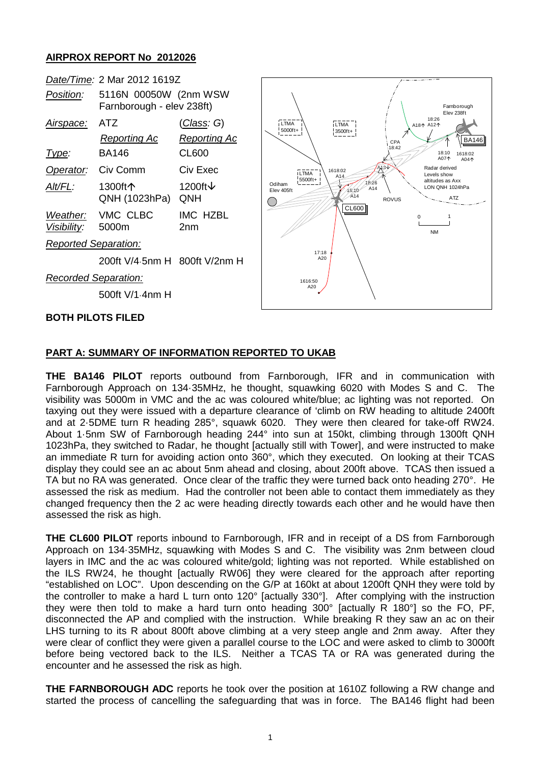## **AIRPROX REPORT No 2012026**

| Date/Time: 2 Mar 2012 1619Z                                                           |                                                           |                                                                                                                                |
|---------------------------------------------------------------------------------------|-----------------------------------------------------------|--------------------------------------------------------------------------------------------------------------------------------|
| 5116N 00050W (2nm WSW<br>Position:<br>Farnborough - elev 238ft)                       |                                                           | Famboroud<br>Elev 238ft                                                                                                        |
| <b>ATZ</b><br><u>Airspace:</u><br><b>Reporting Ac</b><br><b>BA146</b><br><u>Type:</u> | <u>(Class</u> : G)<br><b>Reporting Ac</b><br><b>CL600</b> | 18:26<br>LTMA<br>LTMA<br>A181 A121<br>5000ft+<br>3500ft+<br>LB<br>CPA<br>18:42<br>18:10<br>1618:<br>A07个                       |
| Civ Comm<br>Operator:                                                                 | Civ Exec                                                  | A04<br>A3Y<br>Radar derived<br>1618:02<br><b>LTMA</b><br>Levels show<br>A14                                                    |
| 1300ft个<br>Alt/FL:<br>QNH (1023hPa)                                                   | 1200ft ↓<br>QNH                                           | 5500ft+<br>altitudes as Axx<br>18:26<br>Odiham<br>LON QNH 1024hPa<br>A14<br>18:10'<br>Elev 405ft<br>A14<br>ATZ<br><b>ROVUS</b> |
| VMC CLBC<br>Weather:<br>5000m<br>Visibility:                                          | IMC HZBL<br>2 <sub>nm</sub>                               | CL600<br><b>NM</b>                                                                                                             |
| <b>Reported Separation:</b>                                                           |                                                           |                                                                                                                                |
| 200ft V/4.5nm H 800ft V/2nm H                                                         |                                                           | 17:18<br>A20                                                                                                                   |
| Recorded Separation:<br>500ft V/1.4nm H                                               |                                                           | 1616:50<br>A20                                                                                                                 |
| BOTH PILOTS FILED                                                                     |                                                           |                                                                                                                                |

1618:02 A044

**BA146** 

Farnborough Elev 238ft

## **PART A: SUMMARY OF INFORMATION REPORTED TO UKAB**

**THE BA146 PILOT** reports outbound from Farnborough, IFR and in communication with Farnborough Approach on 134·35MHz, he thought, squawking 6020 with Modes S and C. The visibility was 5000m in VMC and the ac was coloured white/blue; ac lighting was not reported. On taxying out they were issued with a departure clearance of 'climb on RW heading to altitude 2400ft and at 2·5DME turn R heading 285°, squawk 6020. They were then cleared for take-off RW24. About 1·5nm SW of Farnborough heading 244° into sun at 150kt, climbing through 1300ft QNH 1023hPa, they switched to Radar, he thought [actually still with Tower], and were instructed to make an immediate R turn for avoiding action onto 360°, which they executed. On looking at their TCAS display they could see an ac about 5nm ahead and closing, about 200ft above. TCAS then issued a TA but no RA was generated. Once clear of the traffic they were turned back onto heading 270°. He assessed the risk as medium. Had the controller not been able to contact them immediately as they changed frequency then the 2 ac were heading directly towards each other and he would have then assessed the risk as high.

**THE CL600 PILOT** reports inbound to Farnborough, IFR and in receipt of a DS from Farnborough Approach on 134·35MHz, squawking with Modes S and C. The visibility was 2nm between cloud layers in IMC and the ac was coloured white/gold; lighting was not reported. While established on the ILS RW24, he thought [actually RW06] they were cleared for the approach after reporting "established on LOC". Upon descending on the G/P at 160kt at about 1200ft QNH they were told by the controller to make a hard L turn onto 120° [actually 330°]. After complying with the instruction they were then told to make a hard turn onto heading 300° [actually R 180°] so the FO, PF, disconnected the AP and complied with the instruction. While breaking R they saw an ac on their LHS turning to its R about 800ft above climbing at a very steep angle and 2nm away. After they were clear of conflict they were given a parallel course to the LOC and were asked to climb to 3000ft before being vectored back to the ILS. Neither a TCAS TA or RA was generated during the encounter and he assessed the risk as high.

**THE FARNBOROUGH ADC** reports he took over the position at 1610Z following a RW change and started the process of cancelling the safeguarding that was in force. The BA146 flight had been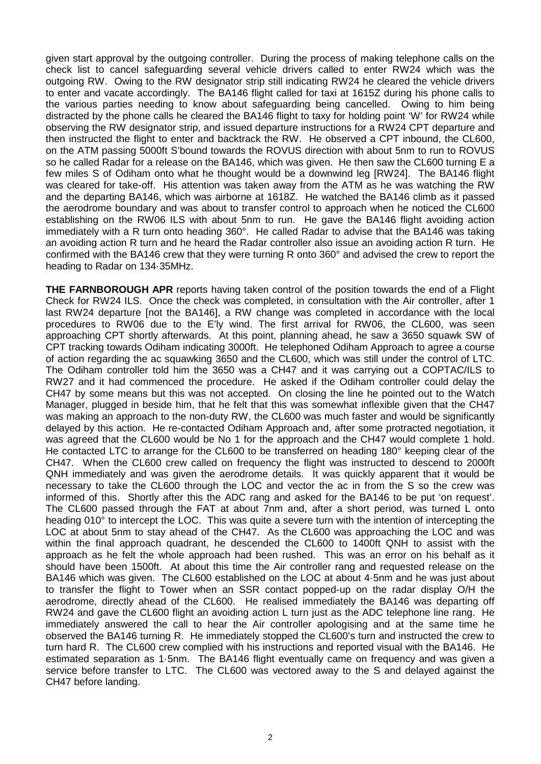given start approval by the outgoing controller. During the process of making telephone calls on the check list to cancel safeguarding several vehicle drivers called to enter RW24 which was the outgoing RW. Owing to the RW designator strip still indicating RW24 he cleared the vehicle drivers to enter and vacate accordingly. The BA146 flight called for taxi at 1615Z during his phone calls to the various parties needing to know about safeguarding being cancelled. Owing to him being distracted by the phone calls he cleared the BA146 flight to taxy for holding point 'W' for RW24 while observing the RW designator strip, and issued departure instructions for a RW24 CPT departure and then instructed the flight to enter and backtrack the RW. He observed a CPT inbound, the CL600, on the ATM passing 5000ft S'bound towards the ROVUS direction with about 5nm to run to ROVUS so he called Radar for a release on the BA146, which was given. He then saw the CL600 turning E a few miles S of Odiham onto what he thought would be a downwind leg [RW24]. The BA146 flight was cleared for take-off. His attention was taken away from the ATM as he was watching the RW and the departing BA146, which was airborne at 1618Z. He watched the BA146 climb as it passed the aerodrome boundary and was about to transfer control to approach when he noticed the CL600 establishing on the RW06 ILS with about 5nm to run. He gave the BA146 flight avoiding action immediately with a R turn onto heading 360°. He called Radar to advise that the BA146 was taking an avoiding action R turn and he heard the Radar controller also issue an avoiding action R turn. He confirmed with the BA146 crew that they were turning R onto 360° and advised the crew to report the heading to Radar on 134·35MHz.

**THE FARNBOROUGH APR** reports having taken control of the position towards the end of a Flight Check for RW24 ILS. Once the check was completed, in consultation with the Air controller, after 1 last RW24 departure [not the BA146], a RW change was completed in accordance with the local procedures to RW06 due to the E'ly wind. The first arrival for RW06, the CL600, was seen approaching CPT shortly afterwards. At this point, planning ahead, he saw a 3650 squawk SW of CPT tracking towards Odiham indicating 3000ft. He telephoned Odiham Approach to agree a course of action regarding the ac squawking 3650 and the CL600, which was still under the control of LTC. The Odiham controller told him the 3650 was a CH47 and it was carrying out a COPTAC/ILS to RW27 and it had commenced the procedure. He asked if the Odiham controller could delay the CH47 by some means but this was not accepted. On closing the line he pointed out to the Watch Manager, plugged in beside him, that he felt that this was somewhat inflexible given that the CH47 was making an approach to the non-duty RW, the CL600 was much faster and would be significantly delayed by this action. He re-contacted Odiham Approach and, after some protracted negotiation, it was agreed that the CL600 would be No 1 for the approach and the CH47 would complete 1 hold. He contacted LTC to arrange for the CL600 to be transferred on heading 180° keeping clear of the CH47. When the CL600 crew called on frequency the flight was instructed to descend to 2000ft QNH immediately and was given the aerodrome details. It was quickly apparent that it would be necessary to take the CL600 through the LOC and vector the ac in from the S so the crew was informed of this. Shortly after this the ADC rang and asked for the BA146 to be put 'on request'. The CL600 passed through the FAT at about 7nm and, after a short period, was turned L onto heading 010° to intercept the LOC. This was quite a severe turn with the intention of intercepting the LOC at about 5nm to stay ahead of the CH47. As the CL600 was approaching the LOC and was within the final approach quadrant, he descended the CL600 to 1400ft QNH to assist with the approach as he felt the whole approach had been rushed. This was an error on his behalf as it should have been 1500ft. At about this time the Air controller rang and requested release on the BA146 which was given. The CL600 established on the LOC at about 4·5nm and he was just about to transfer the flight to Tower when an SSR contact popped-up on the radar display O/H the aerodrome, directly ahead of the CL600. He realised immediately the BA146 was departing off RW24 and gave the CL600 flight an avoiding action L turn just as the ADC telephone line rang. He immediately answered the call to hear the Air controller apologising and at the same time he observed the BA146 turning R. He immediately stopped the CL600's turn and instructed the crew to turn hard R. The CL600 crew complied with his instructions and reported visual with the BA146. He estimated separation as 1·5nm. The BA146 flight eventually came on frequency and was given a service before transfer to LTC. The CL600 was vectored away to the S and delayed against the CH47 before landing.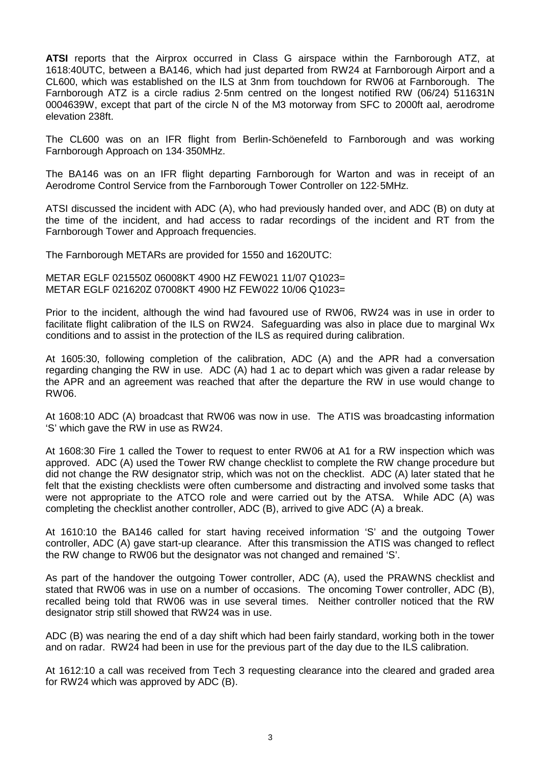**ATSI** reports that the Airprox occurred in Class G airspace within the Farnborough ATZ, at 1618:40UTC, between a BA146, which had just departed from RW24 at Farnborough Airport and a CL600, which was established on the ILS at 3nm from touchdown for RW06 at Farnborough. The Farnborough ATZ is a circle radius 2·5nm centred on the longest notified RW (06/24) 511631N 0004639W, except that part of the circle N of the M3 motorway from SFC to 2000ft aal, aerodrome elevation 238ft.

The CL600 was on an IFR flight from Berlin-Schöenefeld to Farnborough and was working Farnborough Approach on 134·350MHz.

The BA146 was on an IFR flight departing Farnborough for Warton and was in receipt of an Aerodrome Control Service from the Farnborough Tower Controller on 122·5MHz.

ATSI discussed the incident with ADC (A), who had previously handed over, and ADC (B) on duty at the time of the incident, and had access to radar recordings of the incident and RT from the Farnborough Tower and Approach frequencies.

The Farnborough METARs are provided for 1550 and 1620UTC:

METAR EGLF 021550Z 06008KT 4900 HZ FEW021 11/07 Q1023= METAR EGLF 021620Z 07008KT 4900 HZ FEW022 10/06 Q1023=

Prior to the incident, although the wind had favoured use of RW06, RW24 was in use in order to facilitate flight calibration of the ILS on RW24. Safeguarding was also in place due to marginal Wx conditions and to assist in the protection of the ILS as required during calibration.

At 1605:30, following completion of the calibration, ADC (A) and the APR had a conversation regarding changing the RW in use. ADC (A) had 1 ac to depart which was given a radar release by the APR and an agreement was reached that after the departure the RW in use would change to RW06.

At 1608:10 ADC (A) broadcast that RW06 was now in use. The ATIS was broadcasting information 'S' which gave the RW in use as RW24.

At 1608:30 Fire 1 called the Tower to request to enter RW06 at A1 for a RW inspection which was approved. ADC (A) used the Tower RW change checklist to complete the RW change procedure but did not change the RW designator strip, which was not on the checklist. ADC (A) later stated that he felt that the existing checklists were often cumbersome and distracting and involved some tasks that were not appropriate to the ATCO role and were carried out by the ATSA. While ADC (A) was completing the checklist another controller, ADC (B), arrived to give ADC (A) a break.

At 1610:10 the BA146 called for start having received information 'S' and the outgoing Tower controller, ADC (A) gave start-up clearance. After this transmission the ATIS was changed to reflect the RW change to RW06 but the designator was not changed and remained 'S'.

As part of the handover the outgoing Tower controller, ADC (A), used the PRAWNS checklist and stated that RW06 was in use on a number of occasions. The oncoming Tower controller, ADC (B), recalled being told that RW06 was in use several times. Neither controller noticed that the RW designator strip still showed that RW24 was in use.

ADC (B) was nearing the end of a day shift which had been fairly standard, working both in the tower and on radar. RW24 had been in use for the previous part of the day due to the ILS calibration.

At 1612:10 a call was received from Tech 3 requesting clearance into the cleared and graded area for RW24 which was approved by ADC (B).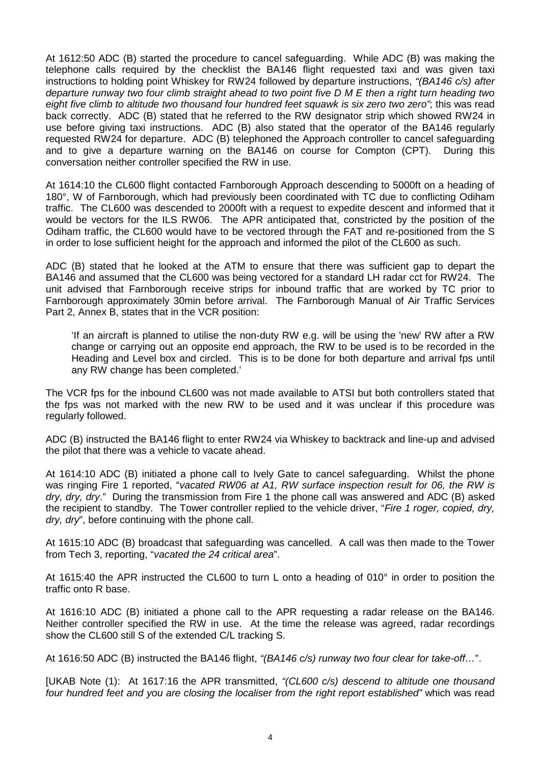At 1612:50 ADC (B) started the procedure to cancel safeguarding. While ADC (B) was making the telephone calls required by the checklist the BA146 flight requested taxi and was given taxi instructions to holding point Whiskey for RW24 followed by departure instructions, *"(BA146 c/s) after departure runway two four climb straight ahead to two point five D M E then a right turn heading two eight five climb to altitude two thousand four hundred feet squawk is six zero two zero"*; this was read back correctly. ADC (B) stated that he referred to the RW designator strip which showed RW24 in use before giving taxi instructions. ADC (B) also stated that the operator of the BA146 regularly requested RW24 for departure. ADC (B) telephoned the Approach controller to cancel safeguarding and to give a departure warning on the BA146 on course for Compton (CPT). During this conversation neither controller specified the RW in use.

At 1614:10 the CL600 flight contacted Farnborough Approach descending to 5000ft on a heading of 180°, W of Farnborough, which had previously been coordinated with TC due to conflicting Odiham traffic. The CL600 was descended to 2000ft with a request to expedite descent and informed that it would be vectors for the ILS RW06. The APR anticipated that, constricted by the position of the Odiham traffic, the CL600 would have to be vectored through the FAT and re-positioned from the S in order to lose sufficient height for the approach and informed the pilot of the CL600 as such.

ADC (B) stated that he looked at the ATM to ensure that there was sufficient gap to depart the BA146 and assumed that the CL600 was being vectored for a standard LH radar cct for RW24. The unit advised that Farnborough receive strips for inbound traffic that are worked by TC prior to Farnborough approximately 30min before arrival. The Farnborough Manual of Air Traffic Services Part 2, Annex B, states that in the VCR position:

'If an aircraft is planned to utilise the non-duty RW e.g. will be using the 'new' RW after a RW change or carrying out an opposite end approach, the RW to be used is to be recorded in the Heading and Level box and circled. This is to be done for both departure and arrival fps until any RW change has been completed.'

The VCR fps for the inbound CL600 was not made available to ATSI but both controllers stated that the fps was not marked with the new RW to be used and it was unclear if this procedure was regularly followed.

ADC (B) instructed the BA146 flight to enter RW24 via Whiskey to backtrack and line-up and advised the pilot that there was a vehicle to vacate ahead.

At 1614:10 ADC (B) initiated a phone call to Ively Gate to cancel safeguarding. Whilst the phone was ringing Fire 1 reported, "*vacated RW06 at A1, RW surface inspection result for 06, the RW is dry, dry, dry*." During the transmission from Fire 1 the phone call was answered and ADC (B) asked the recipient to standby. The Tower controller replied to the vehicle driver, "*Fire 1 roger, copied, dry, dry, dry*", before continuing with the phone call.

At 1615:10 ADC (B) broadcast that safeguarding was cancelled. A call was then made to the Tower from Tech 3, reporting, "*vacated the 24 critical area*".

At 1615:40 the APR instructed the CL600 to turn L onto a heading of 010° in order to position the traffic onto R base.

At 1616:10 ADC (B) initiated a phone call to the APR requesting a radar release on the BA146. Neither controller specified the RW in use. At the time the release was agreed, radar recordings show the CL600 still S of the extended C/L tracking S.

At 1616:50 ADC (B) instructed the BA146 flight, *"(BA146 c/s) runway two four clear for take-off…*".

[UKAB Note (1): At 1617:16 the APR transmitted, *"(CL600 c/s) descend to altitude one thousand four hundred feet and you are closing the localiser from the right report established"* which was read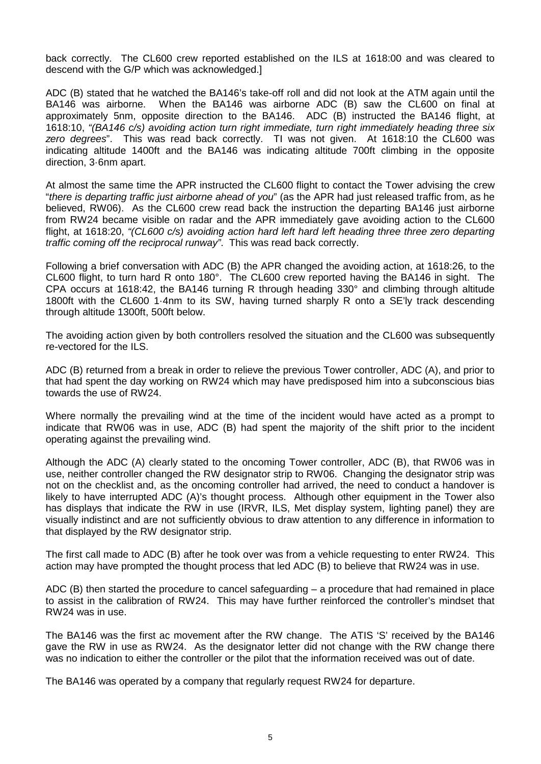back correctly. The CL600 crew reported established on the ILS at 1618:00 and was cleared to descend with the G/P which was acknowledged.]

ADC (B) stated that he watched the BA146's take-off roll and did not look at the ATM again until the BA146 was airborne. When the BA146 was airborne ADC (B) saw the CL600 on final at When the BA146 was airborne ADC (B) saw the CL600 on final at approximately 5nm, opposite direction to the BA146. ADC (B) instructed the BA146 flight, at 1618:10, *"(BA146 c/s) avoiding action turn right immediate, turn right immediately heading three six zero degrees*". This was read back correctly. TI was not given. At 1618:10 the CL600 was indicating altitude 1400ft and the BA146 was indicating altitude 700ft climbing in the opposite direction, 3·6nm apart.

At almost the same time the APR instructed the CL600 flight to contact the Tower advising the crew "*there is departing traffic just airborne ahead of you*" (as the APR had just released traffic from, as he believed, RW06). As the CL600 crew read back the instruction the departing BA146 just airborne from RW24 became visible on radar and the APR immediately gave avoiding action to the CL600 flight, at 1618:20, *"(CL600 c/s) avoiding action hard left hard left heading three three zero departing traffic coming off the reciprocal runway"*. This was read back correctly.

Following a brief conversation with ADC (B) the APR changed the avoiding action, at 1618:26, to the CL600 flight, to turn hard R onto 180°. The CL600 crew reported having the BA146 in sight. The CPA occurs at 1618:42, the BA146 turning R through heading 330° and climbing through altitude 1800ft with the CL600 1·4nm to its SW, having turned sharply R onto a SE'ly track descending through altitude 1300ft, 500ft below.

The avoiding action given by both controllers resolved the situation and the CL600 was subsequently re-vectored for the ILS.

ADC (B) returned from a break in order to relieve the previous Tower controller, ADC (A), and prior to that had spent the day working on RW24 which may have predisposed him into a subconscious bias towards the use of RW24.

Where normally the prevailing wind at the time of the incident would have acted as a prompt to indicate that RW06 was in use, ADC (B) had spent the majority of the shift prior to the incident operating against the prevailing wind.

Although the ADC (A) clearly stated to the oncoming Tower controller, ADC (B), that RW06 was in use, neither controller changed the RW designator strip to RW06. Changing the designator strip was not on the checklist and, as the oncoming controller had arrived, the need to conduct a handover is likely to have interrupted ADC (A)'s thought process. Although other equipment in the Tower also has displays that indicate the RW in use (IRVR, ILS, Met display system, lighting panel) they are visually indistinct and are not sufficiently obvious to draw attention to any difference in information to that displayed by the RW designator strip.

The first call made to ADC (B) after he took over was from a vehicle requesting to enter RW24. This action may have prompted the thought process that led ADC (B) to believe that RW24 was in use.

ADC (B) then started the procedure to cancel safeguarding – a procedure that had remained in place to assist in the calibration of RW24. This may have further reinforced the controller's mindset that RW24 was in use.

The BA146 was the first ac movement after the RW change. The ATIS 'S' received by the BA146 gave the RW in use as RW24. As the designator letter did not change with the RW change there was no indication to either the controller or the pilot that the information received was out of date.

The BA146 was operated by a company that regularly request RW24 for departure.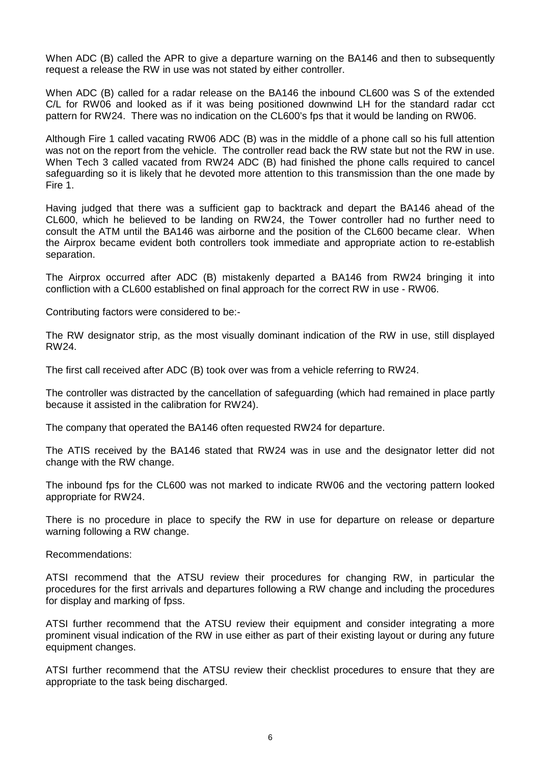When ADC (B) called the APR to give a departure warning on the BA146 and then to subsequently request a release the RW in use was not stated by either controller.

When ADC (B) called for a radar release on the BA146 the inbound CL600 was S of the extended C/L for RW06 and looked as if it was being positioned downwind LH for the standard radar cct pattern for RW24. There was no indication on the CL600's fps that it would be landing on RW06.

Although Fire 1 called vacating RW06 ADC (B) was in the middle of a phone call so his full attention was not on the report from the vehicle. The controller read back the RW state but not the RW in use. When Tech 3 called vacated from RW24 ADC (B) had finished the phone calls required to cancel safeguarding so it is likely that he devoted more attention to this transmission than the one made by Fire 1.

Having judged that there was a sufficient gap to backtrack and depart the BA146 ahead of the CL600, which he believed to be landing on RW24, the Tower controller had no further need to consult the ATM until the BA146 was airborne and the position of the CL600 became clear. When the Airprox became evident both controllers took immediate and appropriate action to re-establish separation.

The Airprox occurred after ADC (B) mistakenly departed a BA146 from RW24 bringing it into confliction with a CL600 established on final approach for the correct RW in use - RW06.

Contributing factors were considered to be:-

The RW designator strip, as the most visually dominant indication of the RW in use, still displayed RW24.

The first call received after ADC (B) took over was from a vehicle referring to RW24.

The controller was distracted by the cancellation of safeguarding (which had remained in place partly because it assisted in the calibration for RW24).

The company that operated the BA146 often requested RW24 for departure.

The ATIS received by the BA146 stated that RW24 was in use and the designator letter did not change with the RW change.

The inbound fps for the CL600 was not marked to indicate RW06 and the vectoring pattern looked appropriate for RW24.

There is no procedure in place to specify the RW in use for departure on release or departure warning following a RW change.

Recommendations:

ATSI recommend that the ATSU review their procedures for changing RW, in particular the procedures for the first arrivals and departures following a RW change and including the procedures for display and marking of fpss.

ATSI further recommend that the ATSU review their equipment and consider integrating a more prominent visual indication of the RW in use either as part of their existing layout or during any future equipment changes.

ATSI further recommend that the ATSU review their checklist procedures to ensure that they are appropriate to the task being discharged.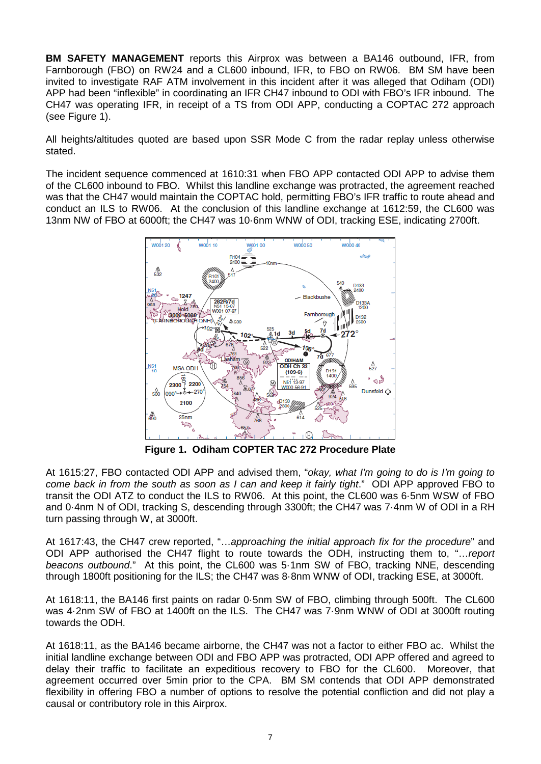**BM SAFETY MANAGEMENT** reports this Airprox was between a BA146 outbound, IFR, from Farnborough (FBO) on RW24 and a CL600 inbound, IFR, to FBO on RW06. BM SM have been invited to investigate RAF ATM involvement in this incident after it was alleged that Odiham (ODI) APP had been "inflexible" in coordinating an IFR CH47 inbound to ODI with FBO's IFR inbound. The CH47 was operating IFR, in receipt of a TS from ODI APP, conducting a COPTAC 272 approach (see Figure 1).

All heights/altitudes quoted are based upon SSR Mode C from the radar replay unless otherwise stated.

The incident sequence commenced at 1610:31 when FBO APP contacted ODI APP to advise them of the CL600 inbound to FBO. Whilst this landline exchange was protracted, the agreement reached was that the CH47 would maintain the COPTAC hold, permitting FBO's IFR traffic to route ahead and conduct an ILS to RW06. At the conclusion of this landline exchange at 1612:59, the CL600 was 13nm NW of FBO at 6000ft; the CH47 was 10·6nm WNW of ODI, tracking ESE, indicating 2700ft.



**Figure 1. Odiham COPTER TAC 272 Procedure Plate**

At 1615:27, FBO contacted ODI APP and advised them, "*okay, what I'm going to do is I'm going to come back in from the south as soon as I can and keep it fairly tight*." ODI APP approved FBO to transit the ODI ATZ to conduct the ILS to RW06. At this point, the CL600 was 6·5nm WSW of FBO and 0·4nm N of ODI, tracking S, descending through 3300ft; the CH47 was 7·4nm W of ODI in a RH turn passing through W, at 3000ft.

At 1617:43, the CH47 crew reported, "…*approaching the initial approach fix for the procedure*" and ODI APP authorised the CH47 flight to route towards the ODH, instructing them to, "…*report beacons outbound*." At this point, the CL600 was 5·1nm SW of FBO, tracking NNE, descending through 1800ft positioning for the ILS; the CH47 was 8·8nm WNW of ODI, tracking ESE, at 3000ft.

At 1618:11, the BA146 first paints on radar 0·5nm SW of FBO, climbing through 500ft. The CL600 was 4·2nm SW of FBO at 1400ft on the ILS. The CH47 was 7·9nm WNW of ODI at 3000ft routing towards the ODH.

At 1618:11, as the BA146 became airborne, the CH47 was not a factor to either FBO ac. Whilst the initial landline exchange between ODI and FBO APP was protracted, ODI APP offered and agreed to delay their traffic to facilitate an expeditious recovery to FBO for the CL600. Moreover, that agreement occurred over 5min prior to the CPA. BM SM contends that ODI APP demonstrated flexibility in offering FBO a number of options to resolve the potential confliction and did not play a causal or contributory role in this Airprox.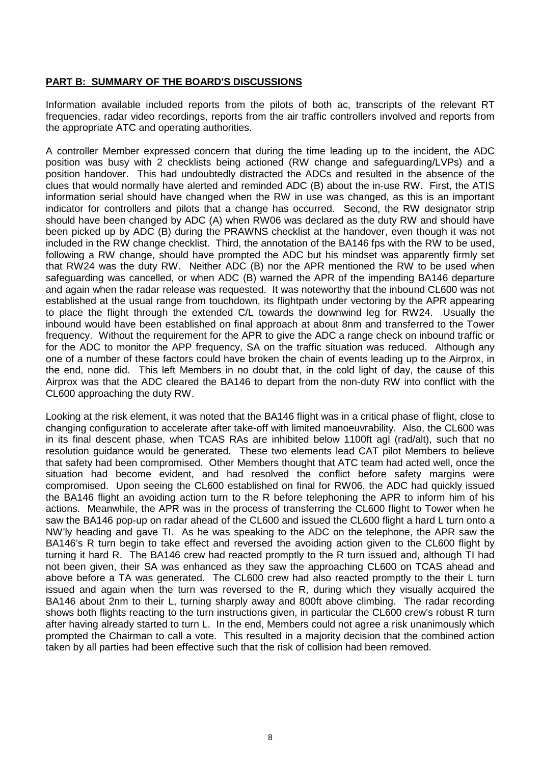## **PART B: SUMMARY OF THE BOARD'S DISCUSSIONS**

Information available included reports from the pilots of both ac, transcripts of the relevant RT frequencies, radar video recordings, reports from the air traffic controllers involved and reports from the appropriate ATC and operating authorities.

A controller Member expressed concern that during the time leading up to the incident, the ADC position was busy with 2 checklists being actioned (RW change and safeguarding/LVPs) and a position handover. This had undoubtedly distracted the ADCs and resulted in the absence of the clues that would normally have alerted and reminded ADC (B) about the in-use RW. First, the ATIS information serial should have changed when the RW in use was changed, as this is an important indicator for controllers and pilots that a change has occurred. Second, the RW designator strip should have been changed by ADC (A) when RW06 was declared as the duty RW and should have been picked up by ADC (B) during the PRAWNS checklist at the handover, even though it was not included in the RW change checklist. Third, the annotation of the BA146 fps with the RW to be used, following a RW change, should have prompted the ADC but his mindset was apparently firmly set that RW24 was the duty RW. Neither ADC (B) nor the APR mentioned the RW to be used when safeguarding was cancelled, or when ADC (B) warned the APR of the impending BA146 departure and again when the radar release was requested. It was noteworthy that the inbound CL600 was not established at the usual range from touchdown, its flightpath under vectoring by the APR appearing to place the flight through the extended C/L towards the downwind leg for RW24. Usually the inbound would have been established on final approach at about 8nm and transferred to the Tower frequency. Without the requirement for the APR to give the ADC a range check on inbound traffic or for the ADC to monitor the APP frequency, SA on the traffic situation was reduced. Although any one of a number of these factors could have broken the chain of events leading up to the Airprox, in the end, none did. This left Members in no doubt that, in the cold light of day, the cause of this Airprox was that the ADC cleared the BA146 to depart from the non-duty RW into conflict with the CL600 approaching the duty RW.

Looking at the risk element, it was noted that the BA146 flight was in a critical phase of flight, close to changing configuration to accelerate after take-off with limited manoeuvrability. Also, the CL600 was in its final descent phase, when TCAS RAs are inhibited below 1100ft agl (rad/alt), such that no resolution guidance would be generated. These two elements lead CAT pilot Members to believe that safety had been compromised. Other Members thought that ATC team had acted well, once the situation had become evident, and had resolved the conflict before safety margins were compromised. Upon seeing the CL600 established on final for RW06, the ADC had quickly issued the BA146 flight an avoiding action turn to the R before telephoning the APR to inform him of his actions. Meanwhile, the APR was in the process of transferring the CL600 flight to Tower when he saw the BA146 pop-up on radar ahead of the CL600 and issued the CL600 flight a hard L turn onto a NW'ly heading and gave TI. As he was speaking to the ADC on the telephone, the APR saw the BA146's R turn begin to take effect and reversed the avoiding action given to the CL600 flight by turning it hard R. The BA146 crew had reacted promptly to the R turn issued and, although TI had not been given, their SA was enhanced as they saw the approaching CL600 on TCAS ahead and above before a TA was generated. The CL600 crew had also reacted promptly to the their L turn issued and again when the turn was reversed to the R, during which they visually acquired the BA146 about 2nm to their L, turning sharply away and 800ft above climbing. The radar recording shows both flights reacting to the turn instructions given, in particular the CL600 crew's robust R turn after having already started to turn L. In the end, Members could not agree a risk unanimously which prompted the Chairman to call a vote. This resulted in a majority decision that the combined action taken by all parties had been effective such that the risk of collision had been removed.